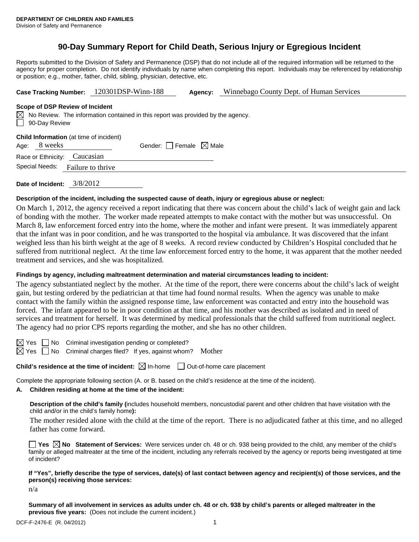# **90-Day Summary Report for Child Death, Serious Injury or Egregious Incident**

Reports submitted to the Division of Safety and Permanence (DSP) that do not include all of the required information will be returned to the agency for proper completion. Do not identify individuals by name when completing this report. Individuals may be referenced by relationship or position; e.g., mother, father, child, sibling, physician, detective, etc.

| 120301DSP-Winn-188<br><b>Case Tracking Number:</b><br>Agency: | Winnebago County Dept. of Human Services |
|---------------------------------------------------------------|------------------------------------------|
|---------------------------------------------------------------|------------------------------------------|

#### **Scope of DSP Review of Incident**

|               | $\boxtimes$ No Review. The information contained in this report was provided by the agency. |
|---------------|---------------------------------------------------------------------------------------------|
| 90-Day Review |                                                                                             |

| Child Information (at time of incident) |  |
|-----------------------------------------|--|
|-----------------------------------------|--|

| Age: 8 weeks | Gender: $\Box$ Female $\boxtimes$ Male |  |
|--------------|----------------------------------------|--|
|              |                                        |  |

Race or Ethnicity: Caucasian Special Needs: Failure to thrive

**Date of Incident:** 3/8/2012

### **Description of the incident, including the suspected cause of death, injury or egregious abuse or neglect:**

On March 1, 2012, the agency received a report indicating that there was concern about the child's lack of weight gain and lack of bonding with the mother. The worker made repeated attempts to make contact with the mother but was unsuccessful. On March 8, law enforcement forced entry into the home, where the mother and infant were present. It was immediately apparent that the infant was in poor condition, and he was transported to the hospital via ambulance. It was discovered that the infant weighed less than his birth weight at the age of 8 weeks. A record review conducted by Children's Hospital concluded that he suffered from nutritional neglect. At the time law enforcement forced entry to the home, it was apparent that the mother needed treatment and services, and she was hospitalized.

## **Findings by agency, including maltreatment determination and material circumstances leading to incident:**

The agency substantiated neglect by the mother. At the time of the report, there were concerns about the child's lack of weight gain, but testing ordered by the pediatrician at that time had found normal results. When the agency was unable to make contact with the family within the assigned response time, law enforcement was contacted and entry into the household was forced. The infant appeared to be in poor condition at that time, and his mother was described as isolated and in need of services and treatment for herself. It was determined by medical professionals that the child suffered from nutritional neglect. The agency had no prior CPS reports regarding the mother, and she has no other children.

No Criminal investigation pending or completed?

 $\boxtimes$  Yes  $\Box$  No Criminal charges filed? If yes, against whom? Mother

**Child's residence at the time of incident:**  $\boxtimes$  In-home  $\Box$  Out-of-home care placement

Complete the appropriate following section (A. or B. based on the child's residence at the time of the incident).

# **A. Children residing at home at the time of the incident:**

**Description of the child's family (**includes household members, noncustodial parent and other children that have visitation with the child and/or in the child's family home**):** 

The mother resided alone with the child at the time of the report. There is no adjudicated father at this time, and no alleged father has come forward.

**Yes No Statement of Services:** Were services under ch. 48 or ch. 938 being provided to the child, any member of the child's family or alleged maltreater at the time of the incident, including any referrals received by the agency or reports being investigated at time of incident?

### **If "Yes", briefly describe the type of services, date(s) of last contact between agency and recipient(s) of those services, and the person(s) receiving those services:**

n/a

**Summary of all involvement in services as adults under ch. 48 or ch. 938 by child's parents or alleged maltreater in the previous five years:** (Does not include the current incident.)